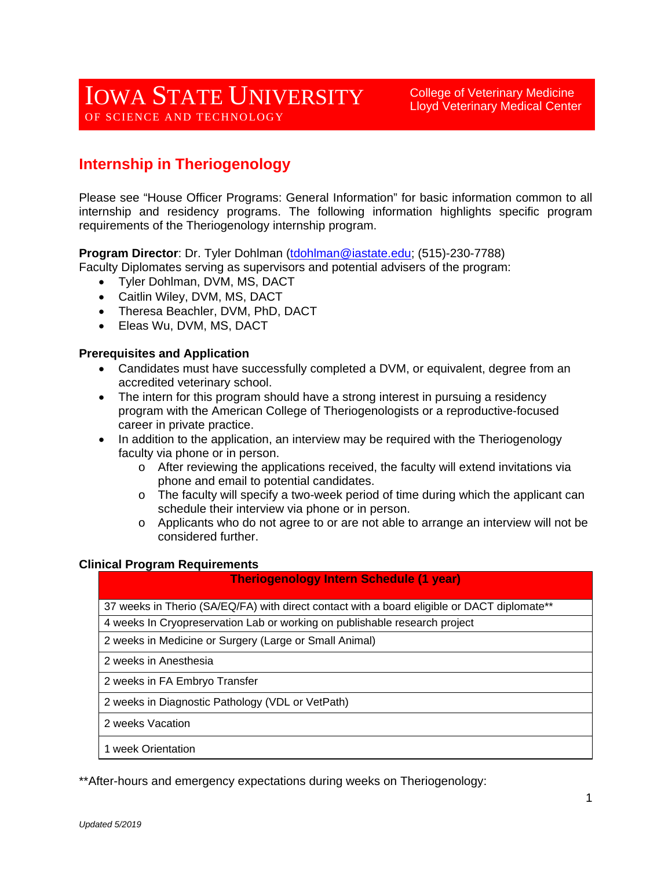# IOWA STATE UNIVERSITY OF SCIENCE AND TECHNOLOGY

College of Veterinary Medicine Lloyd Veterinary Medical Center

## **Internship in Theriogenology**

Please see "House Officer Programs: General Information" for basic information common to all internship and residency programs. The following information highlights specific program requirements of the Theriogenology internship program.

**Program Director**: Dr. Tyler Dohlman [\(tdohlman@iastate.edu;](mailto:tdohlman@iastate.edu) (515)-230-7788)

Faculty Diplomates serving as supervisors and potential advisers of the program:

- Tyler Dohlman, DVM, MS, DACT
- Caitlin Wiley, DVM, MS, DACT
- Theresa Beachler, DVM, PhD, DACT
- Eleas Wu, DVM, MS, DACT

#### **Prerequisites and Application**

- Candidates must have successfully completed a DVM, or equivalent, degree from an accredited veterinary school.
- The intern for this program should have a strong interest in pursuing a residency program with the American College of Theriogenologists or a reproductive-focused career in private practice.
- In addition to the application, an interview may be required with the Theriogenology faculty via phone or in person.
	- o After reviewing the applications received, the faculty will extend invitations via phone and email to potential candidates.
	- o The faculty will specify a two-week period of time during which the applicant can schedule their interview via phone or in person.
	- $\circ$  Applicants who do not agree to or are not able to arrange an interview will not be considered further.

#### **Clinical Program Requirements**

#### **Theriogenology Intern Schedule (1 year)**

37 weeks in Therio (SA/EQ/FA) with direct contact with a board eligible or DACT diplomate\*\*

4 weeks In Cryopreservation Lab or working on publishable research project

2 weeks in Medicine or Surgery (Large or Small Animal)

2 weeks in Anesthesia

2 weeks in FA Embryo Transfer

2 weeks in Diagnostic Pathology (VDL or VetPath)

2 weeks Vacation

1 week Orientation

\*\*After-hours and emergency expectations during weeks on Theriogenology: